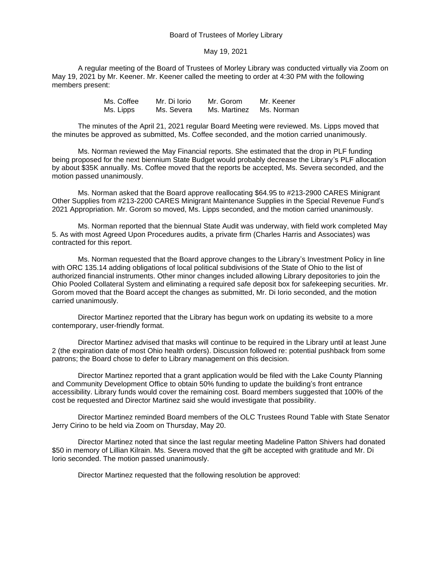Board of Trustees of Morley Library

May 19, 2021

A regular meeting of the Board of Trustees of Morley Library was conducted virtually via Zoom on May 19, 2021 by Mr. Keener. Mr. Keener called the meeting to order at 4:30 PM with the following members present:

| Ms. Coffee | Mr. Di Iorio | Mr. Gorom    | Mr. Keener |
|------------|--------------|--------------|------------|
| Ms. Lipps  | Ms. Severa   | Ms. Martinez | Ms. Norman |

The minutes of the April 21, 2021 regular Board Meeting were reviewed. Ms. Lipps moved that the minutes be approved as submitted, Ms. Coffee seconded, and the motion carried unanimously.

Ms. Norman reviewed the May Financial reports. She estimated that the drop in PLF funding being proposed for the next biennium State Budget would probably decrease the Library's PLF allocation by about \$35K annually. Ms. Coffee moved that the reports be accepted, Ms. Severa seconded, and the motion passed unanimously.

Ms. Norman asked that the Board approve reallocating \$64.95 to #213-2900 CARES Minigrant Other Supplies from #213-2200 CARES Minigrant Maintenance Supplies in the Special Revenue Fund's 2021 Appropriation. Mr. Gorom so moved, Ms. Lipps seconded, and the motion carried unanimously.

Ms. Norman reported that the biennual State Audit was underway, with field work completed May 5. As with most Agreed Upon Procedures audits, a private firm (Charles Harris and Associates) was contracted for this report.

Ms. Norman requested that the Board approve changes to the Library's Investment Policy in line with ORC 135.14 adding obligations of local political subdivisions of the State of Ohio to the list of authorized financial instruments. Other minor changes included allowing Library depositories to join the Ohio Pooled Collateral System and eliminating a required safe deposit box for safekeeping securities. Mr. Gorom moved that the Board accept the changes as submitted, Mr. Di Iorio seconded, and the motion carried unanimously.

Director Martinez reported that the Library has begun work on updating its website to a more contemporary, user-friendly format.

Director Martinez advised that masks will continue to be required in the Library until at least June 2 (the expiration date of most Ohio health orders). Discussion followed re: potential pushback from some patrons; the Board chose to defer to Library management on this decision.

Director Martinez reported that a grant application would be filed with the Lake County Planning and Community Development Office to obtain 50% funding to update the building's front entrance accessibility. Library funds would cover the remaining cost. Board members suggested that 100% of the cost be requested and Director Martinez said she would investigate that possibility.

Director Martinez reminded Board members of the OLC Trustees Round Table with State Senator Jerry Cirino to be held via Zoom on Thursday, May 20.

Director Martinez noted that since the last regular meeting Madeline Patton Shivers had donated \$50 in memory of Lillian Kilrain. Ms. Severa moved that the gift be accepted with gratitude and Mr. Di Iorio seconded. The motion passed unanimously.

Director Martinez requested that the following resolution be approved: